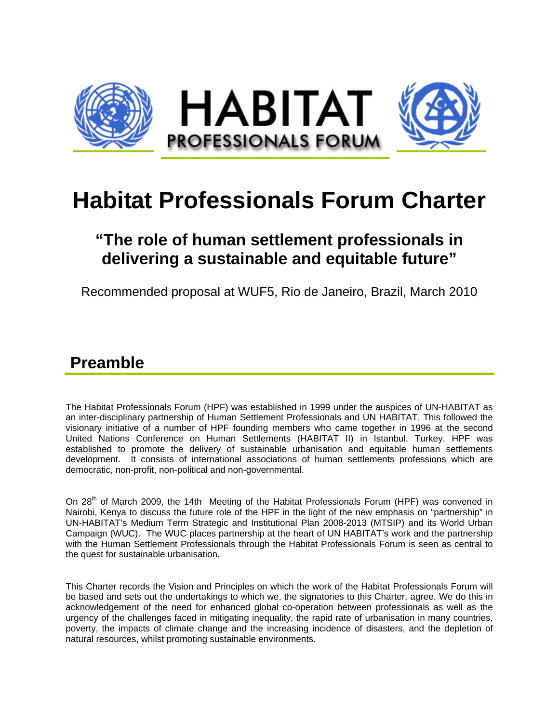

# **Habitat Professionals Forum Charter**

## **"The role of human settlement professionals in delivering a sustainable and equitable future"**

Recommended proposal at WUF5, Rio de Janeiro, Brazil, March 2010

#### **Preamble**

The Habitat Professionals Forum (HPF) was established in 1999 under the auspices of UN-HABITAT as an inter-disciplinary partnership of Human Settlement Professionals and UN HABITAT. This followed the visionary initiative of a number of HPF founding members who came together in 1996 at the second United Nations Conference on Human Settlements (HABITAT II) in Istanbul, Turkey. HPF was established to promote the delivery of sustainable urbanisation and equitable human settlements development. It consists of international associations of human settlements professions which are democratic, non-profit, non-political and non-governmental.

On 28<sup>th</sup> of March 2009, the 14th Meeting of the Habitat Professionals Forum (HPF) was convened in Nairobi, Kenya to discuss the future role of the HPF in the light of the new emphasis on "partnership" in UN-HABITAT's Medium Term Strategic and Institutional Plan 2008-2013 (MTSIP) and its World Urban Campaign (WUC). The WUC places partnership at the heart of UN HABITAT's work and the partnership with the Human Settlement Professionals through the Habitat Professionals Forum is seen as central to the quest for sustainable urbanisation.

This Charter records the Vision and Principles on which the work of the Habitat Professionals Forum will be based and sets out the undertakings to which we, the signatories to this Charter, agree. We do this in acknowledgement of the need for enhanced global co-operation between professionals as well as the urgency of the challenges faced in mitigating inequality, the rapid rate of urbanisation in many countries, poverty, the impacts of climate change and the increasing incidence of disasters, and the depletion of natural resources, whilst promoting sustainable environments.